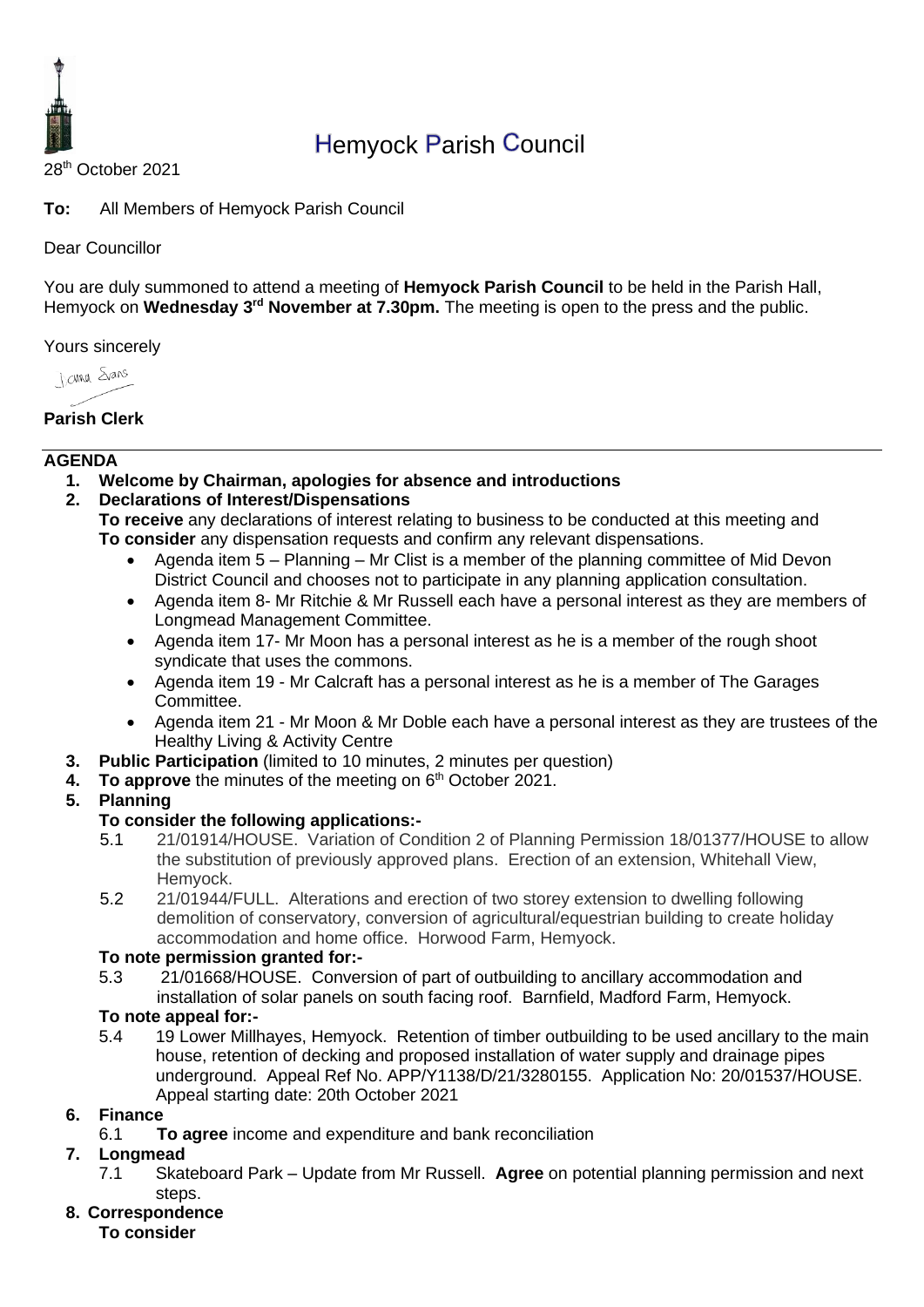

# Hemyock Parish Council

28th October 2021

**To:** All Members of Hemyock Parish Council

#### Dear Councillor

You are duly summoned to attend a meeting of **Hemyock Parish Council** to be held in the Parish Hall, Hemyock on Wednesday 3<sup>rd</sup> November at 7.30pm. The meeting is open to the press and the public.

Yours sincerely

**James** Spans

**Parish Clerk**

#### **AGENDA**

- **1. Welcome by Chairman, apologies for absence and introductions**
- **2. Declarations of Interest/Dispensations**

**To receive** any declarations of interest relating to business to be conducted at this meeting and **To consider** any dispensation requests and confirm any relevant dispensations.

- Agenda item 5 Planning Mr Clist is a member of the planning committee of Mid Devon District Council and chooses not to participate in any planning application consultation.
- Agenda item 8- Mr Ritchie & Mr Russell each have a personal interest as they are members of Longmead Management Committee.
- Agenda item 17- Mr Moon has a personal interest as he is a member of the rough shoot syndicate that uses the commons.
- Agenda item 19 Mr Calcraft has a personal interest as he is a member of The Garages Committee.
- Agenda item 21 Mr Moon & Mr Doble each have a personal interest as they are trustees of the Healthy Living & Activity Centre
- **3. Public Participation** (limited to 10 minutes, 2 minutes per question)
- **4. To approve** the minutes of the meeting on 6 th October 2021.
- **5. Planning**

#### **To consider the following applications:-**

- 5.1 21/01914/HOUSE. Variation of Condition 2 of Planning Permission 18/01377/HOUSE to allow the substitution of previously approved plans. Erection of an extension, Whitehall View, Hemyock.
- 5.2 21/01944/FULL. Alterations and erection of two storey extension to dwelling following demolition of conservatory, conversion of agricultural/equestrian building to create holiday accommodation and home office. Horwood Farm, Hemyock.

#### **To note permission granted for:-**

5.3 21/01668/HOUSE. Conversion of part of outbuilding to ancillary accommodation and installation of solar panels on south facing roof. Barnfield, Madford Farm, Hemyock.

#### **To note appeal for:-**

5.4 19 Lower Millhayes, Hemyock. Retention of timber outbuilding to be used ancillary to the main house, retention of decking and proposed installation of water supply and drainage pipes underground. Appeal Ref No. APP/Y1138/D/21/3280155. Application No: 20/01537/HOUSE. Appeal starting date: 20th October 2021

#### **6. Finance**

6.1 **To agree** income and expenditure and bank reconciliation

# **7. Longmead**

- 7.1 Skateboard Park Update from Mr Russell. **Agree** on potential planning permission and next steps.
- **8. Correspondence**

**To consider**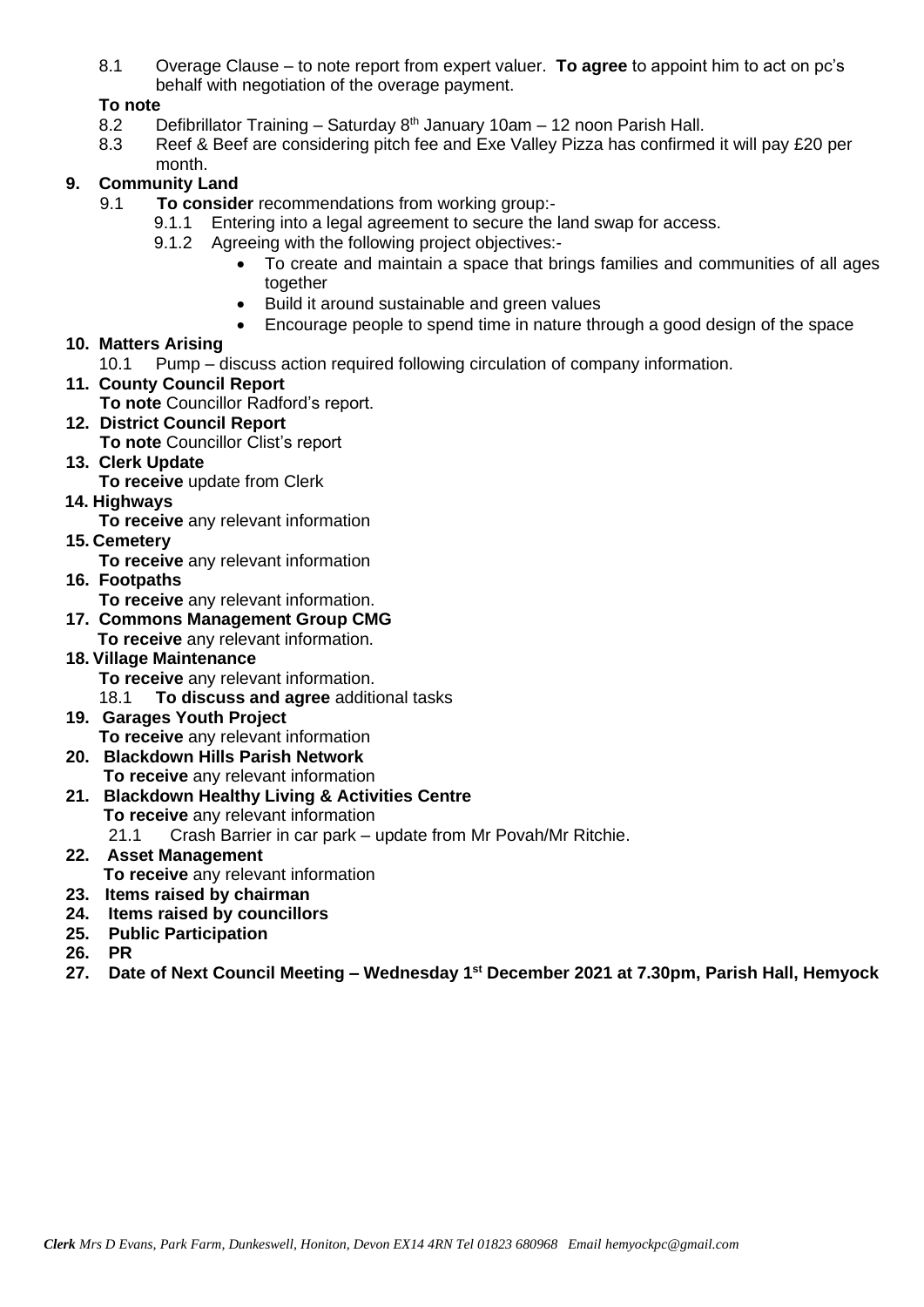8.1 Overage Clause – to note report from expert valuer. **To agree** to appoint him to act on pc's behalf with negotiation of the overage payment.

## **To note**

- 8.2 Defibrillator Training Saturday  $8<sup>th</sup>$  January 10am 12 noon Parish Hall.
- 8.3 Reef & Beef are considering pitch fee and Exe Valley Pizza has confirmed it will pay £20 per month.

## **9. Community Land**

- 9.1 **To consider** recommendations from working group:-
	- 9.1.1 Entering into a legal agreement to secure the land swap for access.
	- 9.1.2 Agreeing with the following project objectives:-
		- To create and maintain a space that brings families and communities of all ages together
		- Build it around sustainable and green values
		- Encourage people to spend time in nature through a good design of the space

#### **10. Matters Arising**

- 10.1 Pump discuss action required following circulation of company information.
- **11. County Council Report**
	- **To note** Councillor Radford's report.

#### **12. District Council Report**

- **To note** Councillor Clist's report
- **13. Clerk Update** 
	- **To receive** update from Clerk
- **14. Highways**
	- **To receive** any relevant information
- **15. Cemetery** 
	- **To receive** any relevant information
- **16. Footpaths**
	- **To receive** any relevant information.
- **17. Commons Management Group CMG**
	- **To receive** any relevant information.

#### **18. Village Maintenance**

- **To receive** any relevant information.
- 18.1 **To discuss and agree** additional tasks
- **19. Garages Youth Project To receive** any relevant information
- **20. Blackdown Hills Parish Network**
	- **To receive** any relevant information
- **21. Blackdown Healthy Living & Activities Centre**
	- **To receive** any relevant information
	- 21.1 Crash Barrier in car park update from Mr Povah/Mr Ritchie.

#### **22. Asset Management To receive** any relevant information

- **23. Items raised by chairman**
- **24. Items raised by councillors**
- **25. Public Participation**
- **26. PR**
- **27. Date of Next Council Meeting – Wednesday 1 st December 2021 at 7.30pm, Parish Hall, Hemyock**